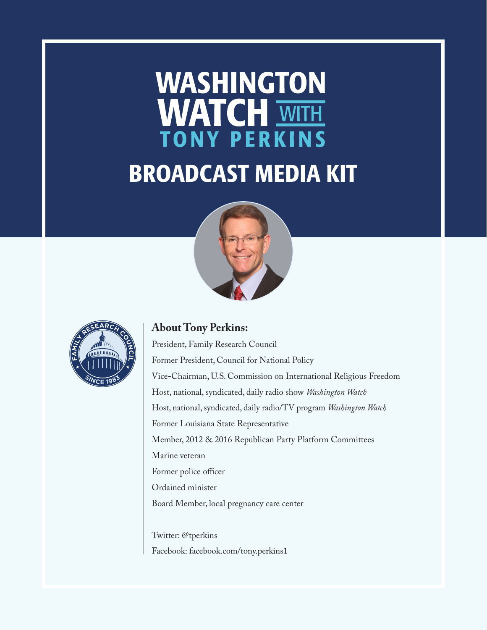# **WASHINGTON** WATCH WITH

### BROADCAST MEDIA KIT





#### **About Tony Perkins:**

President, Family Research Council Former President, Council for National Policy Vice-Chairman, U.S. Commission on International Religious Freedom Host, national, syndicated, daily radio show *Washington Watch* Host, national, syndicated, daily radio/TV program *Washington Watch* Former Louisiana State Representative Member, 2012 & 2016 Republican Party Platform Committees Marine veteran Former police officer Ordained minister Board Member, local pregnancy care center

Twitter: @tperkins Facebook: facebook.com/tony.perkins1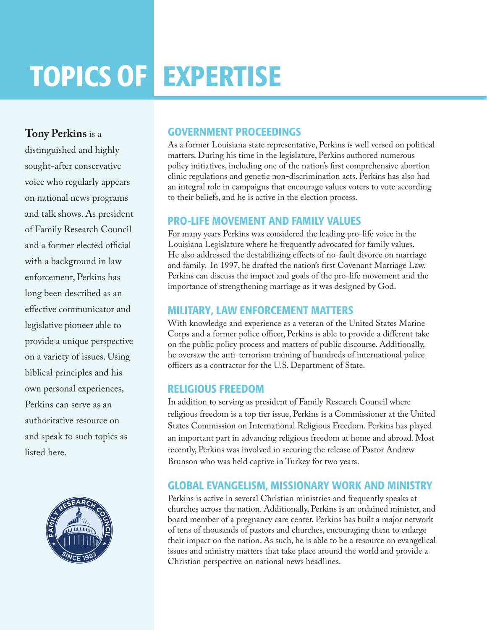## TOPICS OF EXPERTISE

**Tony Perkins** is a

distinguished and highly sought-after conservative voice who regularly appears on national news programs and talk shows. As president of Family Research Council and a former elected official with a background in law enforcement, Perkins has long been described as an effective communicator and legislative pioneer able to provide a unique perspective on a variety of issues. Using biblical principles and his own personal experiences, Perkins can serve as an authoritative resource on and speak to such topics as listed here.



#### GOVERNMENT PROCEEDINGS

As a former Louisiana state representative, Perkins is well versed on political matters. During his time in the legislature, Perkins authored numerous policy initiatives, including one of the nation's first comprehensive abortion clinic regulations and genetic non-discrimination acts. Perkins has also had an integral role in campaigns that encourage values voters to vote according to their beliefs, and he is active in the election process.

#### PRO-LIFE MOVEMENT AND FAMILY VALUES

For many years Perkins was considered the leading pro-life voice in the Louisiana Legislature where he frequently advocated for family values. He also addressed the destabilizing effects of no-fault divorce on marriage and family. In 1997, he drafted the nation's first Covenant Marriage Law. Perkins can discuss the impact and goals of the pro-life movement and the importance of strengthening marriage as it was designed by God.

#### MILITARY, LAW ENFORCEMENT MATTERS

With knowledge and experience as a veteran of the United States Marine Corps and a former police officer, Perkins is able to provide a different take on the public policy process and matters of public discourse. Additionally, he oversaw the anti-terrorism training of hundreds of international police officers as a contractor for the U.S. Department of State.

#### RELIGIOUS FREEDOM

In addition to serving as president of Family Research Council where religious freedom is a top tier issue, Perkins is a Commissioner at the United States Commission on International Religious Freedom. Perkins has played an important part in advancing religious freedom at home and abroad. Most recently, Perkins was involved in securing the release of Pastor Andrew Brunson who was held captive in Turkey for two years.

#### GLOBAL EVANGELISM, MISSIONARY WORK AND MINISTRY

Perkins is active in several Christian ministries and frequently speaks at churches across the nation. Additionally, Perkins is an ordained minister, and board member of a pregnancy care center. Perkins has built a major network of tens of thousands of pastors and churches, encouraging them to enlarge their impact on the nation. As such, he is able to be a resource on evangelical issues and ministry matters that take place around the world and provide a Christian perspective on national news headlines.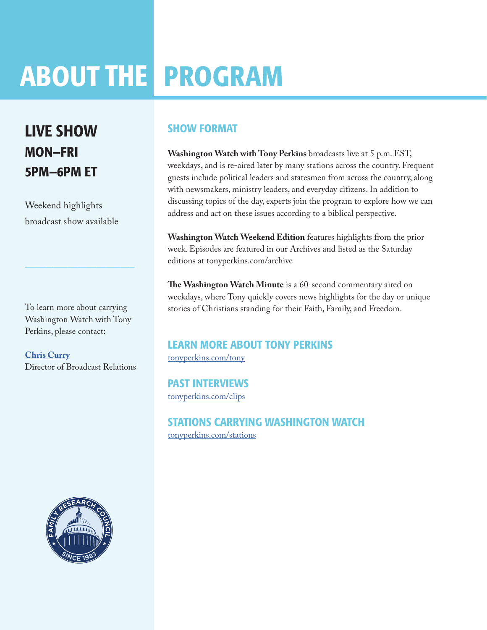## ABOUT THE PROGRAM

### LIVE SHOW MON—FRI 5PM—6PM ET

Weekend highlights broadcast show available

To learn more about carrying Washington Watch with Tony Perkins, please contact:

 $\frac{1}{2}$  ,  $\frac{1}{2}$  ,  $\frac{1}{2}$  ,  $\frac{1}{2}$  ,  $\frac{1}{2}$  ,  $\frac{1}{2}$  ,  $\frac{1}{2}$  ,  $\frac{1}{2}$  ,  $\frac{1}{2}$  ,  $\frac{1}{2}$  ,  $\frac{1}{2}$  ,  $\frac{1}{2}$  ,  $\frac{1}{2}$  ,  $\frac{1}{2}$  ,  $\frac{1}{2}$  ,  $\frac{1}{2}$  ,  $\frac{1}{2}$  ,  $\frac{1}{2}$  ,  $\frac{1$ 

**[Chris Curry](http://frc.org/get.cfm?c=RADIO_INQUIRE)** Director of Broadcast Relations

#### SHOW FORMAT

**Washington Watch with Tony Perkins** broadcasts live at 5 p.m. EST, weekdays, and is re-aired later by many stations across the country. Frequent guests include political leaders and statesmen from across the country, along with newsmakers, ministry leaders, and everyday citizens. In addition to discussing topics of the day, experts join the program to explore how we can address and act on these issues according to a biblical perspective.

**Washington Watch Weekend Edition** features highlights from the prior week. Episodes are featured in our Archives and listed as the Saturday editions at tonyperkins.com/archive

**The Washington Watch Minute** is a 60-second commentary aired on weekdays, where Tony quickly covers news highlights for the day or unique stories of Christians standing for their Faith, Family, and Freedom.

#### LEARN MORE ABOUT TONY PERKINS [tonyperkins.com/tony](http://tonyperkins.com/tony)

PAST INTERVIEWS [tonyperkins.com/clips](http://youtube.com/user/TonyPerkinsChannel )

STATIONS CARRYING WASHINGTON WATCH [tonyperkins.com/stations](http://tonyperkins.com/stations)